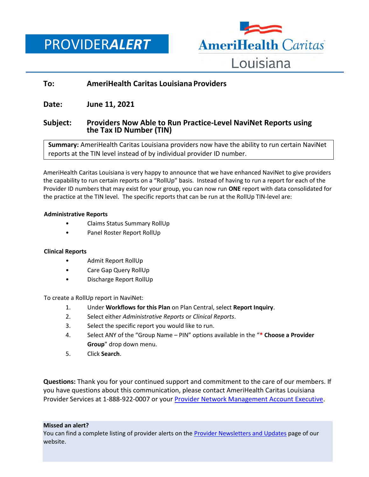PROVIDER*ALERT*



# **To: AmeriHealth Caritas Louisiana Providers**

**Date: June 11, 2021**

## **Subject: Providers Now Able to Run Practice-Level NaviNet Reports using the Tax ID Number (TIN)**

**Summary:** AmeriHealth Caritas Louisiana providers now have the ability to run certain NaviNet reports at the TIN level instead of by individual provider ID number.

AmeriHealth Caritas Louisiana is very happy to announce that we have enhanced NaviNet to give providers the capability to run certain reports on a "RollUp" basis. Instead of having to run a report for each of the Provider ID numbers that may exist for your group, you can now run **ONE** report with data consolidated for the practice at the TIN level. The specific reports that can be run at the RollUp TIN-level are:

### **Administrative Reports**

- Claims Status Summary RollUp
- Panel Roster Report RollUp

### **Clinical Reports**

- Admit Report RollUp
- Care Gap Query RollUp
- Discharge Report RollUp

To create a RollUp report in NaviNet:

- 1. Under **Workflows for this Plan** on Plan Central, select **Report Inquiry**.
- 2. Select either *Administrative Reports* or *Clinical Reports*.
- 3. Select the specific report you would like to run.
- 4. Select ANY of the "Group Name PIN" options available in the "**\* Choose a Provider Group**" drop down menu.
- 5. Click **Search**.

**Questions:** Thank you for your continued support and commitment to the care of our members. If you have questions about this communication, please contact AmeriHealth Caritas Louisiana Provider Services at 1-888-922-0007 or you[r Provider Network Management Account Executive.](http://www.amerihealthcaritasla.com/pdf/provider/account-executives.pdf)

#### **Missed an alert?**

You can find a complete listing of provider alerts on the [Provider Newsletters and Updates](http://amerihealthcaritasla.com/provider/newsletters-and-updates.) page of our website.